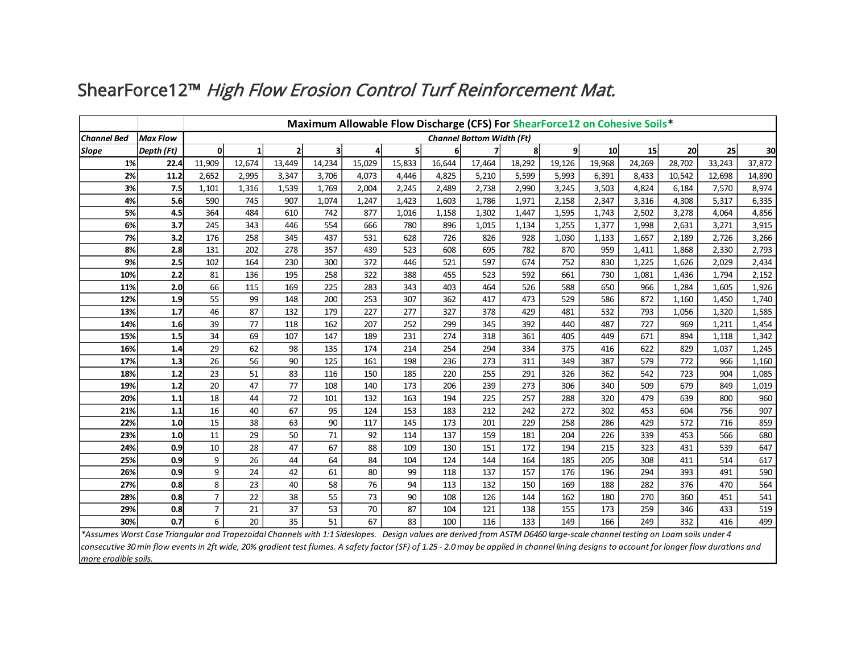|                                                                                                                                                                                |                 | Maximum Allowable Flow Discharge (CFS) For ShearForce12 on Cohesive Soils* |        |              |        |        |        |        |        |        |        |        |        |        |        |        |
|--------------------------------------------------------------------------------------------------------------------------------------------------------------------------------|-----------------|----------------------------------------------------------------------------|--------|--------------|--------|--------|--------|--------|--------|--------|--------|--------|--------|--------|--------|--------|
| <b>Channel Bed</b>                                                                                                                                                             | <b>Max Flow</b> | <b>Channel Bottom Width (Ft)</b>                                           |        |              |        |        |        |        |        |        |        |        |        |        |        |        |
| Slope                                                                                                                                                                          | Depth (Ft)      | <sub>0</sub>                                                               | 1      | $\mathbf{2}$ |        | 4      | 5      | 6      |        | 8      | 9      | 10     | 15     | 20     | 25     | 30     |
| 1%                                                                                                                                                                             | 22.4            | 11,909                                                                     | 12,674 | 13,449       | 14,234 | 15,029 | 15,833 | 16,644 | 17,464 | 18,292 | 19,126 | 19,968 | 24,269 | 28,702 | 33,243 | 37,872 |
| 2%                                                                                                                                                                             | 11.2            | 2,652                                                                      | 2,995  | 3,347        | 3,706  | 4,073  | 4,446  | 4,825  | 5,210  | 5,599  | 5,993  | 6,391  | 8,433  | 10,542 | 12,698 | 14,890 |
| 3%                                                                                                                                                                             | 7.5             | 1,101                                                                      | 1,316  | 1,539        | 1,769  | 2,004  | 2,245  | 2,489  | 2,738  | 2,990  | 3,245  | 3,503  | 4,824  | 6,184  | 7,570  | 8,974  |
| 4%                                                                                                                                                                             | 5.6             | 590                                                                        | 745    | 907          | 1,074  | 1,247  | 1,423  | 1,603  | 1,786  | 1,971  | 2,158  | 2,347  | 3,316  | 4,308  | 5,317  | 6,335  |
| 5%                                                                                                                                                                             | 4.5             | 364                                                                        | 484    | 610          | 742    | 877    | 1,016  | 1,158  | 1,302  | 1,447  | 1,595  | 1,743  | 2,502  | 3,278  | 4,064  | 4,856  |
| 6%                                                                                                                                                                             | 3.7             | 245                                                                        | 343    | 446          | 554    | 666    | 780    | 896    | 1,015  | 1,134  | 1,255  | 1,377  | 1,998  | 2,631  | 3,271  | 3,915  |
| 7%                                                                                                                                                                             | 3.2             | 176                                                                        | 258    | 345          | 437    | 531    | 628    | 726    | 826    | 928    | 1,030  | 1,133  | 1,657  | 2,189  | 2,726  | 3,266  |
| 8%                                                                                                                                                                             | 2.8             | 131                                                                        | 202    | 278          | 357    | 439    | 523    | 608    | 695    | 782    | 870    | 959    | 1,411  | 1,868  | 2,330  | 2,793  |
| 9%                                                                                                                                                                             | 2.5             | 102                                                                        | 164    | 230          | 300    | 372    | 446    | 521    | 597    | 674    | 752    | 830    | 1,225  | 1,626  | 2,029  | 2,434  |
| 10%                                                                                                                                                                            | 2.2             | 81                                                                         | 136    | 195          | 258    | 322    | 388    | 455    | 523    | 592    | 661    | 730    | 1,081  | 1,436  | 1,794  | 2,152  |
| 11%                                                                                                                                                                            | 2.0             | 66                                                                         | 115    | 169          | 225    | 283    | 343    | 403    | 464    | 526    | 588    | 650    | 966    | 1,284  | 1,605  | 1,926  |
| 12%                                                                                                                                                                            | 1.9             | 55                                                                         | 99     | 148          | 200    | 253    | 307    | 362    | 417    | 473    | 529    | 586    | 872    | 1,160  | 1,450  | 1,740  |
| 13%                                                                                                                                                                            | 1.7             | 46                                                                         | 87     | 132          | 179    | 227    | 277    | 327    | 378    | 429    | 481    | 532    | 793    | 1,056  | 1,320  | 1,585  |
| 14%                                                                                                                                                                            | 1.6             | 39                                                                         | 77     | 118          | 162    | 207    | 252    | 299    | 345    | 392    | 440    | 487    | 727    | 969    | 1,211  | 1,454  |
| 15%                                                                                                                                                                            | 1.5             | 34                                                                         | 69     | 107          | 147    | 189    | 231    | 274    | 318    | 361    | 405    | 449    | 671    | 894    | 1,118  | 1,342  |
| 16%                                                                                                                                                                            | 1.4             | 29                                                                         | 62     | 98           | 135    | 174    | 214    | 254    | 294    | 334    | 375    | 416    | 622    | 829    | 1,037  | 1,245  |
| 17%                                                                                                                                                                            | 1.3             | 26                                                                         | 56     | 90           | 125    | 161    | 198    | 236    | 273    | 311    | 349    | 387    | 579    | 772    | 966    | 1,160  |
| 18%                                                                                                                                                                            | 1.2             | 23                                                                         | 51     | 83           | 116    | 150    | 185    | 220    | 255    | 291    | 326    | 362    | 542    | 723    | 904    | 1,085  |
| 19%                                                                                                                                                                            | 1.2             | 20                                                                         | 47     | 77           | 108    | 140    | 173    | 206    | 239    | 273    | 306    | 340    | 509    | 679    | 849    | 1,019  |
| 20%                                                                                                                                                                            | 1.1             | 18                                                                         | 44     | 72           | 101    | 132    | 163    | 194    | 225    | 257    | 288    | 320    | 479    | 639    | 800    | 960    |
| 21%                                                                                                                                                                            | 1.1             | 16                                                                         | 40     | 67           | 95     | 124    | 153    | 183    | 212    | 242    | 272    | 302    | 453    | 604    | 756    | 907    |
| 22%                                                                                                                                                                            | 1.0             | 15                                                                         | 38     | 63           | 90     | 117    | 145    | 173    | 201    | 229    | 258    | 286    | 429    | 572    | 716    | 859    |
| 23%                                                                                                                                                                            | 1.0             | 11                                                                         | 29     | 50           | 71     | 92     | 114    | 137    | 159    | 181    | 204    | 226    | 339    | 453    | 566    | 680    |
| 24%                                                                                                                                                                            | 0.9             | 10                                                                         | 28     | 47           | 67     | 88     | 109    | 130    | 151    | 172    | 194    | 215    | 323    | 431    | 539    | 647    |
| 25%                                                                                                                                                                            | 0.9             | 9                                                                          | 26     | 44           | 64     | 84     | 104    | 124    | 144    | 164    | 185    | 205    | 308    | 411    | 514    | 617    |
| 26%                                                                                                                                                                            | 0.9             | 9                                                                          | 24     | 42           | 61     | 80     | 99     | 118    | 137    | 157    | 176    | 196    | 294    | 393    | 491    | 590    |
| 27%                                                                                                                                                                            | 0.8             | 8                                                                          | 23     | 40           | 58     | 76     | 94     | 113    | 132    | 150    | 169    | 188    | 282    | 376    | 470    | 564    |
| 28%                                                                                                                                                                            | 0.8             | $\overline{7}$                                                             | 22     | 38           | 55     | 73     | 90     | 108    | 126    | 144    | 162    | 180    | 270    | 360    | 451    | 541    |
| 29%                                                                                                                                                                            | 0.8             | $\overline{7}$                                                             | 21     | 37           | 53     | 70     | 87     | 104    | 121    | 138    | 155    | 173    | 259    | 346    | 433    | 519    |
| 30%<br>*Accumes Worst Case Triangular and Transpoidal Channels with 1:1 Sideslangs Design values are derived from ASTM DEASO large scale shannel testing on Loam soils under A | 0.7             | 6                                                                          | 20     | 35           | 51     | 67     | 83     | 100    | 116    | 133    | 149    | 166    | 249    | 332    | 416    | 499    |

## ShearForce12™ High Flow Erosion Control Turf Reinforcement Mat.

*\*Assumes Worst Case Triangular and Trapezoidal Channels with 1:1 Sideslopes. Design values are derived from ASTM D6460 large-scale channel testing on Loam soils under 4 consecutive 30 min flow events in 2ft wide, 20% gradient test flumes. A safety factor (SF) of 1.25 - 2.0 may be applied in channel lining designs to account for longer flow durations and more erodible soils.*